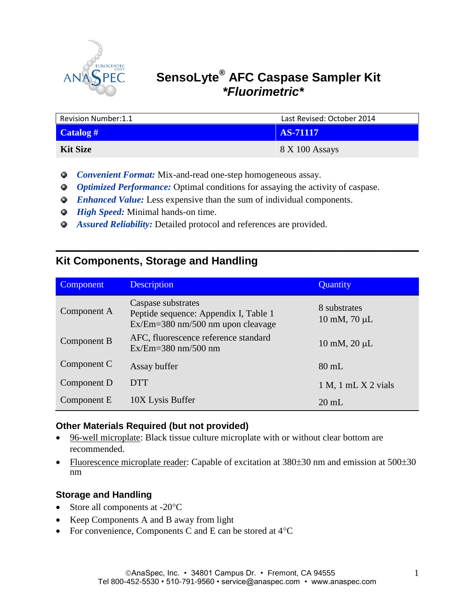

# **SensoLyte® AFC Caspase Sampler Kit**   *\*Fluorimetric\**

| <b>Revision Number:1.1</b> | Last Revised: October 2014 |  |
|----------------------------|----------------------------|--|
| Catalog #                  | AS-71117                   |  |
| <b>Kit Size</b>            | 8 X 100 Assays             |  |

- *Convenient Format:* Mix-and-read one-step homogeneous assay.
- *Optimized Performance:* Optimal conditions for assaying the activity of caspase.
- *Enhanced Value:* Less expensive than the sum of individual components.
- *O* High Speed: Minimal hands-on time.
- *Assured Reliability:* Detailed protocol and references are provided.

# **Kit Components, Storage and Handling**

| Component   | <b>Description</b>                                                                                 | Quantity                                     |
|-------------|----------------------------------------------------------------------------------------------------|----------------------------------------------|
| Component A | Caspase substrates<br>Peptide sequence: Appendix I, Table 1<br>$Ex/Em=380$ nm/500 nm upon cleavage | 8 substrates<br>$10 \text{ mM}$ , $70 \mu L$ |
| Component B | AFC, fluorescence reference standard<br>$Ex/Em=380$ nm/500 nm                                      | $10 \text{ mM}$ , $20 \mu L$                 |
| Component C | Assay buffer                                                                                       | $80$ mL                                      |
| Component D | <b>DTT</b>                                                                                         | $1 M$ , $1 mL X 2 vials$                     |
| Component E | 10X Lysis Buffer                                                                                   | $20 \text{ mL}$                              |

**\_\_\_\_\_\_\_\_\_\_\_\_\_\_\_\_\_\_\_\_\_\_\_\_\_\_\_\_\_\_\_\_\_\_\_\_\_\_\_\_\_\_\_\_\_\_\_\_\_\_\_\_\_\_\_\_\_\_\_\_\_\_\_\_\_\_\_\_\_\_\_\_\_\_\_\_\_\_**

### **Other Materials Required (but not provided)**

- 96-well microplate: Black tissue culture microplate with or without clear bottom are recommended.
- Fluorescence microplate reader: Capable of excitation at  $380\pm30$  nm and emission at  $500\pm30$ nm

### **Storage and Handling**

- Store all components at  $-20^{\circ}$ C
- Keep Components A and B away from light
- For convenience, Components C and E can be stored at  $4^{\circ}C$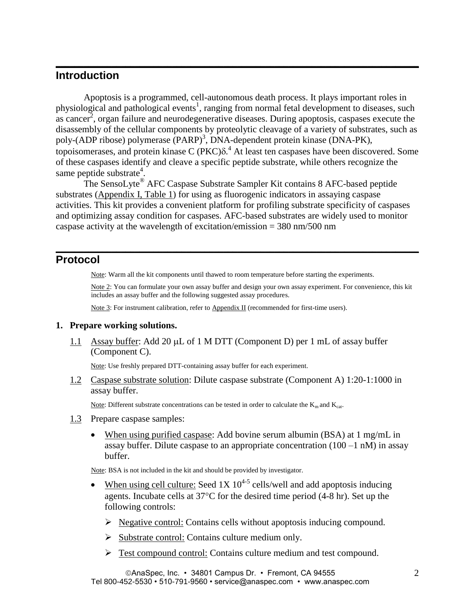## **Introduction**

Apoptosis is a programmed, cell-autonomous death process. It plays important roles in physiological and pathological events<sup>1</sup>, ranging from normal fetal development to diseases, such as cancer<sup>2</sup>, organ failure and neurodegenerative diseases. During apoptosis, caspases execute the disassembly of the cellular components by proteolytic cleavage of a variety of substrates, such as poly-(ADP ribose) polymerase (PARP)<sup>3</sup>, DNA-dependent protein kinase (DNA-PK), topoisomerases, and protein kinase  $C (P K C) \delta$ <sup>4</sup>. At least ten caspases have been discovered. Some of these caspases identify and cleave a specific peptide substrate, while others recognize the same peptide substrate<sup>4</sup>.

**\_\_\_\_\_\_\_\_\_\_\_\_\_\_\_\_\_\_\_\_\_\_\_\_\_\_\_\_\_\_\_\_\_\_\_\_\_\_\_\_\_\_\_\_\_\_\_\_\_\_\_\_\_\_\_\_\_\_\_\_\_\_\_\_\_\_\_\_\_\_\_\_\_\_\_\_\_\_**

The SensoLyte® AFC Caspase Substrate Sampler Kit contains 8 AFC-based peptide substrates (Appendix I, Table 1) for using as fluorogenic indicators in assaying caspase activities. This kit provides a convenient platform for profiling substrate specificity of caspases and optimizing assay condition for caspases. AFC-based substrates are widely used to monitor caspase activity at the wavelength of excitation/emission = 380 nm/500 nm

## **Protocol**

Note: Warm all the kit components until thawed to room temperature before starting the experiments.

**\_\_\_\_\_\_\_\_\_\_\_\_\_\_\_\_\_\_\_\_\_\_\_\_\_\_\_\_\_\_\_\_\_\_\_\_\_\_\_\_\_\_\_\_\_\_\_\_\_\_\_\_\_\_\_\_\_\_\_\_\_\_\_\_\_\_\_\_\_\_\_\_\_\_\_\_\_\_**

Note 2: You can formulate your own assay buffer and design your own assay experiment. For convenience, this kit includes an assay buffer and the following suggested assay procedures.

Note 3: For instrument calibration, refer to Appendix II (recommended for first-time users).

#### **1. Prepare working solutions.**

1.1 Assay buffer: Add 20  $\mu$ L of 1 M DTT (Component D) per 1 mL of assay buffer (Component C).

Note: Use freshly prepared DTT-containing assay buffer for each experiment.

1.2 Caspase substrate solution: Dilute caspase substrate (Component A) 1:20-1:1000 in assay buffer.

Note: Different substrate concentrations can be tested in order to calculate the  $K<sub>m</sub>$  and  $K<sub>cat</sub>$ .

- 1.3 Prepare caspase samples:
	- When using purified caspase: Add bovine serum albumin (BSA) at 1 mg/mL in assay buffer. Dilute caspase to an appropriate concentration  $(100 - 1 \text{ nM})$  in assay buffer.

Note: BSA is not included in the kit and should be provided by investigator.

- When using cell culture: Seed 1X  $10^{4.5}$  cells/well and add apoptosis inducing agents. Incubate cells at  $37^{\circ}$ C for the desired time period (4-8 hr). Set up the following controls:
	- $\triangleright$  Negative control: Contains cells without apoptosis inducing compound.
	- $\triangleright$  Substrate control: Contains culture medium only.
	- Test compound control: Contains culture medium and test compound.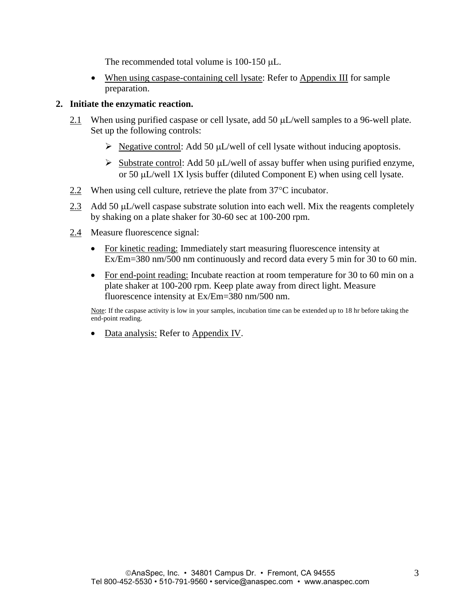The recommended total volume is  $100-150 \mu L$ .

• When using caspase-containing cell lysate: Refer to Appendix III for sample preparation.

#### **2. Initiate the enzymatic reaction.**

- 2.1 When using purified caspase or cell lysate, add 50  $\mu$ L/well samples to a 96-well plate. Set up the following controls:
	- $\triangleright$  Negative control: Add 50 µL/well of cell lysate without inducing apoptosis.
	- $\triangleright$  Substrate control: Add 50 µL/well of assay buffer when using purified enzyme, or 50  $\mu$ L/well 1X lysis buffer (diluted Component E) when using cell lysate.
- $2.2$  When using cell culture, retrieve the plate from 37 $\degree$ C incubator.
- 2.3 Add 50  $\mu$ L/well caspase substrate solution into each well. Mix the reagents completely by shaking on a plate shaker for 30-60 sec at 100-200 rpm.
- 2.4 Measure fluorescence signal:
	- For kinetic reading: Immediately start measuring fluorescence intensity at Ex/Em=380 nm/500 nm continuously and record data every 5 min for 30 to 60 min.
	- For end-point reading: Incubate reaction at room temperature for 30 to 60 min on a plate shaker at 100-200 rpm. Keep plate away from direct light. Measure fluorescence intensity at Ex/Em=380 nm/500 nm.

Note: If the caspase activity is low in your samples, incubation time can be extended up to 18 hr before taking the end-point reading.

• Data analysis: Refer to Appendix IV.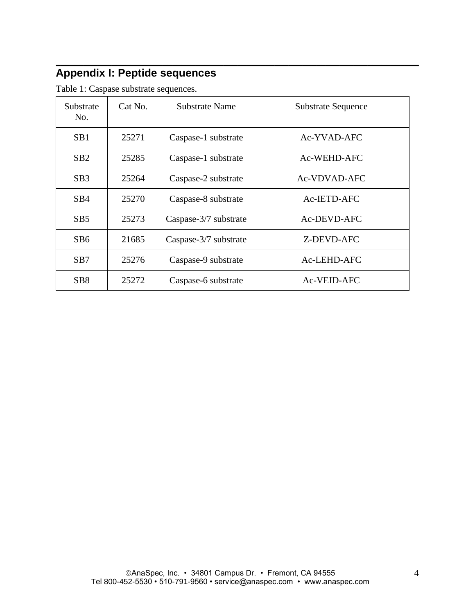## **\_\_\_\_\_\_\_\_\_\_\_\_\_\_\_\_\_\_\_\_\_\_\_\_\_\_\_\_\_\_\_\_\_\_\_\_\_\_\_\_\_\_\_\_\_\_\_\_\_\_\_\_\_\_\_\_\_\_\_\_\_\_\_\_\_\_\_\_\_\_\_\_\_\_\_\_\_\_ Appendix I: Peptide sequences**

| Substrate<br>No. | Cat No. | Substrate Name        | <b>Substrate Sequence</b> |
|------------------|---------|-----------------------|---------------------------|
| SB <sub>1</sub>  | 25271   | Caspase-1 substrate   | Ac-YVAD-AFC               |
| SB2              | 25285   | Caspase-1 substrate   | Ac-WEHD-AFC               |
| SB <sub>3</sub>  | 25264   | Caspase-2 substrate   | Ac-VDVAD-AFC              |
| SB4              | 25270   | Caspase-8 substrate   | Ac-IETD-AFC               |
| SB5              | 25273   | Caspase-3/7 substrate | Ac-DEVD-AFC               |
| SB6              | 21685   | Caspase-3/7 substrate | Z-DEVD-AFC                |
| SB7              | 25276   | Caspase-9 substrate   | Ac-LEHD-AFC               |
| SB <sub>8</sub>  | 25272   | Caspase-6 substrate   | Ac-VEID-AFC               |

Table 1: Caspase substrate sequences.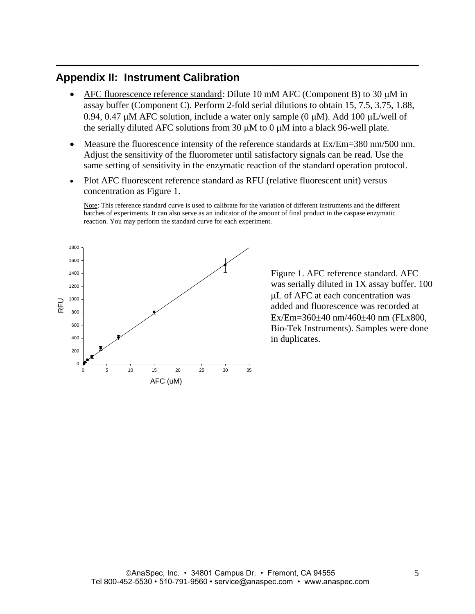# **Appendix II: Instrument Calibration**

AFC fluorescence reference standard: Dilute 10 mM AFC (Component B) to 30  $\mu$ M in assay buffer (Component C). Perform 2-fold serial dilutions to obtain 15, 7.5, 3.75, 1.88, 0.94, 0.47  $\mu$ M AFC solution, include a water only sample (0  $\mu$ M). Add 100  $\mu$ L/well of the serially diluted AFC solutions from 30  $\mu$ M to 0  $\mu$ M into a black 96-well plate.

**\_\_\_\_\_\_\_\_\_\_\_\_\_\_\_\_\_\_\_\_\_\_\_\_\_\_\_\_\_\_\_\_\_\_\_\_\_\_\_\_\_\_\_\_\_\_\_\_\_\_\_\_\_\_\_\_\_\_\_\_\_\_\_\_\_\_\_\_\_\_\_\_\_\_\_\_\_\_**

- Measure the fluorescence intensity of the reference standards at Ex/Em=380 nm/500 nm. Adjust the sensitivity of the fluorometer until satisfactory signals can be read. Use the same setting of sensitivity in the enzymatic reaction of the standard operation protocol.
- Plot AFC fluorescent reference standard as RFU (relative fluorescent unit) versus concentration as Figure 1.

Note: This reference standard curve is used to calibrate for the variation of different instruments and the different batches of experiments. It can also serve as an indicator of the amount of final product in the caspase enzymatic reaction. You may perform the standard curve for each experiment.



Figure 1. AFC reference standard. AFC was serially diluted in 1X assay buffer. 100 L of AFC at each concentration was added and fluorescence was recorded at  $Ex/Em = 360 \pm 40$  nm/460 $\pm 40$  nm (FLx800, Bio-Tek Instruments). Samples were done in duplicates.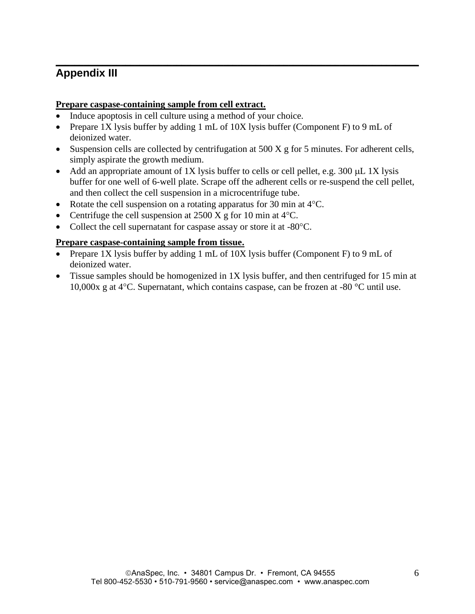## **\_\_\_\_\_\_\_\_\_\_\_\_\_\_\_\_\_\_\_\_\_\_\_\_\_\_\_\_\_\_\_\_\_\_\_\_\_\_\_\_\_\_\_\_\_\_\_\_\_\_\_\_\_\_\_\_\_\_\_\_\_\_\_\_\_\_\_\_\_\_\_\_\_\_\_\_\_\_ Appendix III**

#### **Prepare caspase-containing sample from cell extract.**

- Induce apoptosis in cell culture using a method of your choice.
- Prepare 1X lysis buffer by adding 1 mL of 10X lysis buffer (Component F) to 9 mL of deionized water.
- $\bullet$  Suspension cells are collected by centrifugation at 500 X g for 5 minutes. For adherent cells, simply aspirate the growth medium.
- Add an appropriate amount of 1X lysis buffer to cells or cell pellet, e.g. 300  $\mu$ L 1X lysis buffer for one well of 6-well plate. Scrape off the adherent cells or re-suspend the cell pellet, and then collect the cell suspension in a microcentrifuge tube.
- Rotate the cell suspension on a rotating apparatus for 30 min at  $4^{\circ}$ C.
- Centrifuge the cell suspension at  $2500 \text{ X}$  g for 10 min at  $4^{\circ}$ C.
- Collect the cell supernatant for caspase assay or store it at -80 °C.

#### **Prepare caspase-containing sample from tissue.**

- Prepare 1X lysis buffer by adding 1 mL of 10X lysis buffer (Component F) to 9 mL of deionized water.
- Tissue samples should be homogenized in 1X lysis buffer, and then centrifuged for 15 min at 10,000x g at  $4^{\circ}$ C. Supernatant, which contains caspase, can be frozen at -80  $^{\circ}$ C until use.